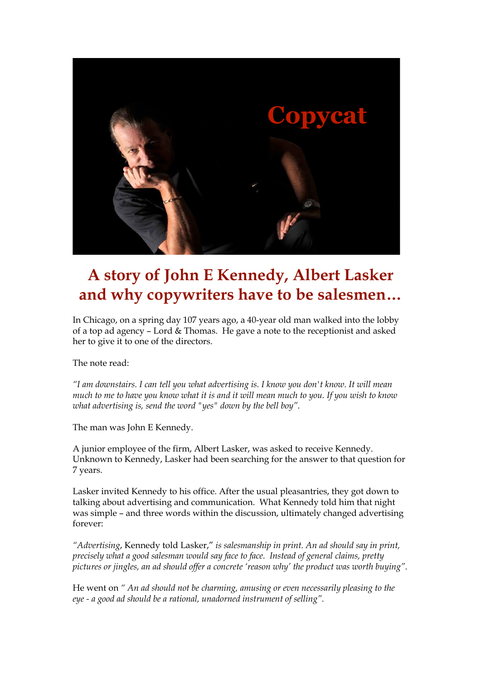

## **A story of John E Kennedy, Albert Lasker and why copywriters have to be salesmen…**

In Chicago, on a spring day 107 years ago, a 40-year old man walked into the lobby of a top ad agency – Lord & Thomas. He gave a note to the receptionist and asked her to give it to one of the directors.

The note read:

*"I am downstairs. I can tell you what advertising is. I know you don't know. It will mean much to me to have you know what it is and it will mean much to you. If you wish to know what advertising is, send the word "yes" down by the bell boy".* 

The man was John E Kennedy.

A junior employee of the firm, Albert Lasker, was asked to receive Kennedy. Unknown to Kennedy, Lasker had been searching for the answer to that question for 7 years.

Lasker invited Kennedy to his office. After the usual pleasantries, they got down to talking about advertising and communication. What Kennedy told him that night was simple – and three words within the discussion, ultimately changed advertising forever:

*"Advertising*, Kennedy told Lasker," *is salesmanship in print. An ad should say in print, precisely what a good salesman would say face to face. Instead of general claims, pretty pictures or jingles, an ad should offer a concrete 'reason why' the product was worth buying".*

He went on *" An ad should not be charming, amusing or even necessarily pleasing to the eye - a good ad should be a rational, unadorned instrument of selling".*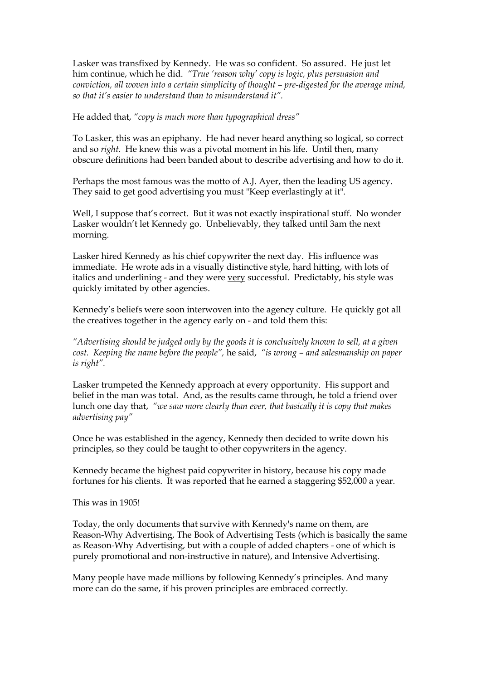Lasker was transfixed by Kennedy. He was so confident. So assured. He just let him continue, which he did. *"True 'reason why' copy is logic, plus persuasion and conviction, all woven into a certain simplicity of thought – pre-digested for the average mind, so that it's easier to understand than to misunderstand it".* 

He added that, *"copy is much more than typographical dress"*

To Lasker, this was an epiphany. He had never heard anything so logical, so correct and so *right*. He knew this was a pivotal moment in his life. Until then, many obscure definitions had been banded about to describe advertising and how to do it.

Perhaps the most famous was the motto of A.J. Ayer, then the leading US agency. They said to get good advertising you must "Keep everlastingly at it".

Well, I suppose that's correct. But it was not exactly inspirational stuff. No wonder Lasker wouldn't let Kennedy go. Unbelievably, they talked until 3am the next morning.

Lasker hired Kennedy as his chief copywriter the next day. His influence was immediate. He wrote ads in a visually distinctive style, hard hitting, with lots of italics and underlining - and they were very successful. Predictably, his style was quickly imitated by other agencies.

Kennedy's beliefs were soon interwoven into the agency culture. He quickly got all the creatives together in the agency early on - and told them this:

*"Advertising should be judged only by the goods it is conclusively known to sell, at a given cost. Keeping the name before the people",* he said, *"is wrong – and salesmanship on paper is right".*

Lasker trumpeted the Kennedy approach at every opportunity. His support and belief in the man was total. And, as the results came through, he told a friend over lunch one day that, *"we saw more clearly than ever, that basically it is copy that makes advertising pay"*

Once he was established in the agency, Kennedy then decided to write down his principles, so they could be taught to other copywriters in the agency.

Kennedy became the highest paid copywriter in history, because his copy made fortunes for his clients. It was reported that he earned a staggering \$52,000 a year.

This was in 1905!

Today, the only documents that survive with Kennedy's name on them, are Reason-Why Advertising, The Book of Advertising Tests (which is basically the same as Reason-Why Advertising, but with a couple of added chapters - one of which is purely promotional and non-instructive in nature), and Intensive Advertising.

Many people have made millions by following Kennedy's principles. And many more can do the same, if his proven principles are embraced correctly.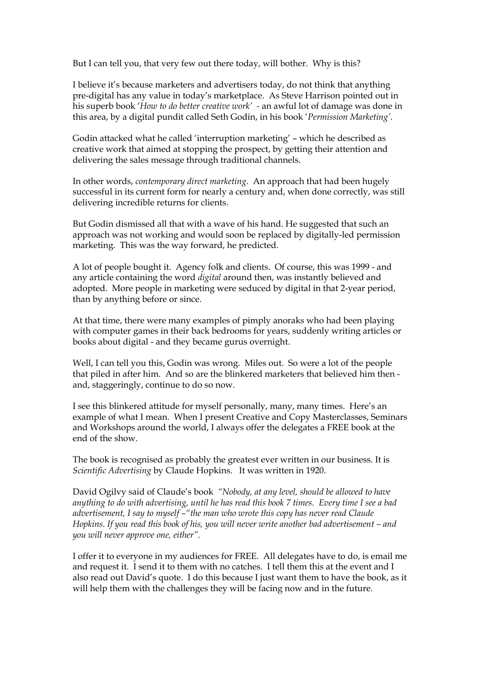But I can tell you, that very few out there today, will bother. Why is this?

I believe it's because marketers and advertisers today, do not think that anything pre-digital has any value in today's marketplace. As Steve Harrison pointed out in his superb book '*How to do better creative work' -* an awful lot of damage was done in this area, by a digital pundit called Seth Godin, in his book '*Permission Marketing'.*

Godin attacked what he called 'interruption marketing' – which he described as creative work that aimed at stopping the prospect, by getting their attention and delivering the sales message through traditional channels.

In other words, *contemporary direct marketing*. An approach that had been hugely successful in its current form for nearly a century and, when done correctly, was still delivering incredible returns for clients.

But Godin dismissed all that with a wave of his hand. He suggested that such an approach was not working and would soon be replaced by digitally-led permission marketing. This was the way forward, he predicted.

A lot of people bought it. Agency folk and clients. Of course, this was 1999 - and any article containing the word *digital* around then, was instantly believed and adopted. More people in marketing were seduced by digital in that 2-year period, than by anything before or since.

At that time, there were many examples of pimply anoraks who had been playing with computer games in their back bedrooms for years, suddenly writing articles or books about digital - and they became gurus overnight.

Well, I can tell you this, Godin was wrong. Miles out. So were a lot of the people that piled in after him. And so are the blinkered marketers that believed him then and, staggeringly, continue to do so now.

I see this blinkered attitude for myself personally, many, many times. Here's an example of what I mean. When I present Creative and Copy Masterclasses, Seminars and Workshops around the world, I always offer the delegates a FREE book at the end of the show.

The book is recognised as probably the greatest ever written in our business. It is *Scientific Advertising* by Claude Hopkins. It was written in 1920.

David Ogilvy said of Claude's book *"Nobody, at any level, should be allowed to have anything to do with advertising, until he has read this book 7 times. Every time I see a bad advertisement, I say to myself –"the man who wrote this copy has never read Claude Hopkins. If you read this book of his, you will never write another bad advertisement – and you will never approve one, either".*

I offer it to everyone in my audiences for FREE. All delegates have to do, is email me and request it. I send it to them with no catches. I tell them this at the event and I also read out David's quote. I do this because I just want them to have the book, as it will help them with the challenges they will be facing now and in the future.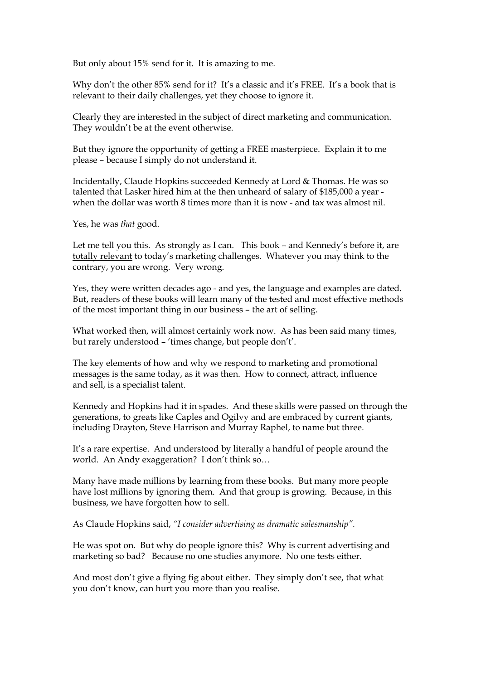But only about 15% send for it. It is amazing to me.

Why don't the other 85% send for it? It's a classic and it's FREE. It's a book that is relevant to their daily challenges, yet they choose to ignore it.

Clearly they are interested in the subject of direct marketing and communication. They wouldn't be at the event otherwise.

But they ignore the opportunity of getting a FREE masterpiece. Explain it to me please – because I simply do not understand it.

Incidentally, Claude Hopkins succeeded Kennedy at Lord & Thomas. He was so talented that Lasker hired him at the then unheard of salary of \$185,000 a year when the dollar was worth 8 times more than it is now - and tax was almost nil.

Yes, he was *that* good.

Let me tell you this. As strongly as I can. This book – and Kennedy's before it, are totally relevant to today's marketing challenges. Whatever you may think to the contrary, you are wrong. Very wrong.

Yes, they were written decades ago - and yes, the language and examples are dated. But, readers of these books will learn many of the tested and most effective methods of the most important thing in our business – the art of selling.

What worked then, will almost certainly work now. As has been said many times, but rarely understood – 'times change, but people don't'.

The key elements of how and why we respond to marketing and promotional messages is the same today, as it was then. How to connect, attract, influence and sell, is a specialist talent.

Kennedy and Hopkins had it in spades. And these skills were passed on through the generations, to greats like Caples and Ogilvy and are embraced by current giants, including Drayton, Steve Harrison and Murray Raphel, to name but three.

It's a rare expertise. And understood by literally a handful of people around the world. An Andy exaggeration? I don't think so…

Many have made millions by learning from these books. But many more people have lost millions by ignoring them. And that group is growing. Because, in this business, we have forgotten how to sell.

As Claude Hopkins said, *"I consider advertising as dramatic salesmanship".* 

He was spot on. But why do people ignore this? Why is current advertising and marketing so bad? Because no one studies anymore. No one tests either.

And most don't give a flying fig about either. They simply don't see, that what you don't know, can hurt you more than you realise.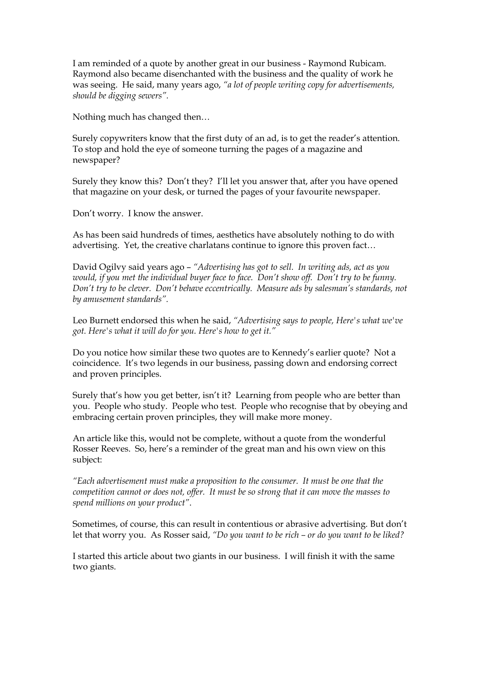I am reminded of a quote by another great in our business - Raymond Rubicam. Raymond also became disenchanted with the business and the quality of work he was seeing. He said, many years ago, *"a lot of people writing copy for advertisements, should be digging sewers".*

Nothing much has changed then…

Surely copywriters know that the first duty of an ad, is to get the reader's attention. To stop and hold the eye of someone turning the pages of a magazine and newspaper?

Surely they know this? Don't they? I'll let you answer that, after you have opened that magazine on your desk, or turned the pages of your favourite newspaper.

Don't worry. I know the answer.

As has been said hundreds of times, aesthetics have absolutely nothing to do with advertising. Yet, the creative charlatans continue to ignore this proven fact…

David Ogilvy said years ago – *"Advertising has got to sell. In writing ads, act as you would, if you met the individual buyer face to face. Don't show off. Don't try to be funny. Don't try to be clever. Don't behave eccentrically. Measure ads by salesman's standards, not by amusement standards".*

Leo Burnett endorsed this when he said, *"Advertising says to people, Here's what we've got. Here's what it will do for you. Here's how to get it."*

Do you notice how similar these two quotes are to Kennedy's earlier quote? Not a coincidence. It's two legends in our business, passing down and endorsing correct and proven principles.

Surely that's how you get better, isn't it? Learning from people who are better than you. People who study. People who test. People who recognise that by obeying and embracing certain proven principles, they will make more money.

An article like this, would not be complete, without a quote from the wonderful Rosser Reeves. So, here's a reminder of the great man and his own view on this subject:

*"Each advertisement must make a proposition to the consumer. It must be one that the competition cannot or does not, offer. It must be so strong that it can move the masses to spend millions on your product"*.

Sometimes, of course, this can result in contentious or abrasive advertising. But don't let that worry you. As Rosser said, *"Do you want to be rich – or do you want to be liked?* 

I started this article about two giants in our business. I will finish it with the same two giants.